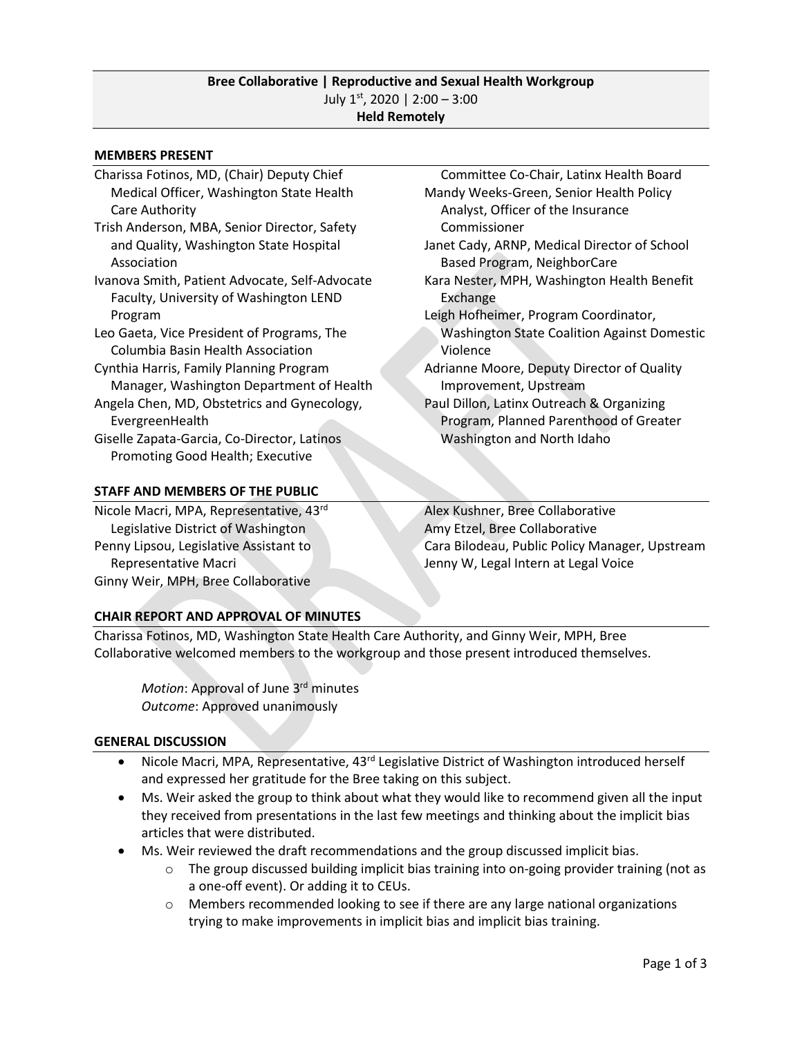#### **MEMBERS PRESENT**

- Charissa Fotinos, MD, (Chair) Deputy Chief Medical Officer, Washington State Health Care Authority
- Trish Anderson, MBA, Senior Director, Safety and Quality, Washington State Hospital Association
- Ivanova Smith, Patient Advocate, Self-Advocate Faculty, University of Washington LEND Program
- Leo Gaeta, Vice President of Programs, The Columbia Basin Health Association
- Cynthia Harris, Family Planning Program Manager, Washington Department of Health
- Angela Chen, MD, Obstetrics and Gynecology, EvergreenHealth
- Giselle Zapata-Garcia, Co-Director, Latinos Promoting Good Health; Executive

#### **STAFF AND MEMBERS OF THE PUBLIC**

Nicole Macri, MPA, Representative, 43rd Legislative District of Washington Penny Lipsou, Legislative Assistant to Representative Macri Ginny Weir, MPH, Bree Collaborative

 Committee Co-Chair, Latinx Health Board Mandy Weeks-Green, Senior Health Policy Analyst, Officer of the Insurance Commissioner

- Janet Cady, ARNP, Medical Director of School Based Program, NeighborCare
- Kara Nester, MPH, Washington Health Benefit Exchange
- Leigh Hofheimer, Program Coordinator, Washington State Coalition Against Domestic Violence
- Adrianne Moore, Deputy Director of Quality Improvement, Upstream
- Paul Dillon, Latinx Outreach & Organizing Program, Planned Parenthood of Greater Washington and North Idaho

Alex Kushner, Bree Collaborative Amy Etzel, Bree Collaborative Cara Bilodeau, Public Policy Manager, Upstream Jenny W, Legal Intern at Legal Voice

# **CHAIR REPORT AND APPROVAL OF MINUTES**

Charissa Fotinos, MD, Washington State Health Care Authority, and Ginny Weir, MPH, Bree Collaborative welcomed members to the workgroup and those present introduced themselves.

Motion: Approval of June 3<sup>rd</sup> minutes *Outcome*: Approved unanimously

# **GENERAL DISCUSSION**

- Nicole Macri, MPA, Representative, 43<sup>rd</sup> Legislative District of Washington introduced herself and expressed her gratitude for the Bree taking on this subject.
- Ms. Weir asked the group to think about what they would like to recommend given all the input they received from presentations in the last few meetings and thinking about the implicit bias articles that were distributed.
- Ms. Weir reviewed the draft recommendations and the group discussed implicit bias.
	- $\circ$  The group discussed building implicit bias training into on-going provider training (not as a one-off event). Or adding it to CEUs.
	- $\circ$  Members recommended looking to see if there are any large national organizations trying to make improvements in implicit bias and implicit bias training.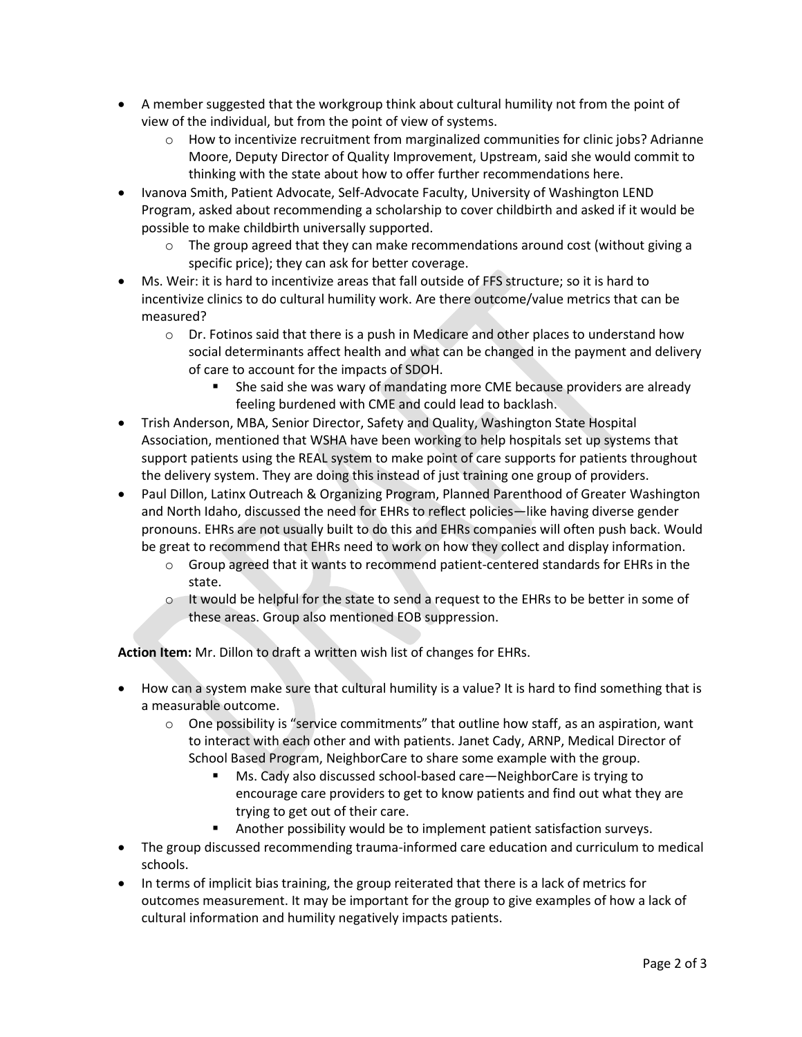- A member suggested that the workgroup think about cultural humility not from the point of view of the individual, but from the point of view of systems.
	- $\circ$  How to incentivize recruitment from marginalized communities for clinic jobs? Adrianne Moore, Deputy Director of Quality Improvement, Upstream, said she would commit to thinking with the state about how to offer further recommendations here.
- Ivanova Smith, Patient Advocate, Self-Advocate Faculty, University of Washington LEND Program, asked about recommending a scholarship to cover childbirth and asked if it would be possible to make childbirth universally supported.
	- $\circ$  The group agreed that they can make recommendations around cost (without giving a specific price); they can ask for better coverage.
- Ms. Weir: it is hard to incentivize areas that fall outside of FFS structure; so it is hard to incentivize clinics to do cultural humility work. Are there outcome/value metrics that can be measured?
	- $\circ$  Dr. Fotinos said that there is a push in Medicare and other places to understand how social determinants affect health and what can be changed in the payment and delivery of care to account for the impacts of SDOH.
		- She said she was wary of mandating more CME because providers are already feeling burdened with CME and could lead to backlash.
- Trish Anderson, MBA, Senior Director, Safety and Quality, Washington State Hospital Association, mentioned that WSHA have been working to help hospitals set up systems that support patients using the REAL system to make point of care supports for patients throughout the delivery system. They are doing this instead of just training one group of providers.
- Paul Dillon, Latinx Outreach & Organizing Program, Planned Parenthood of Greater Washington and North Idaho, discussed the need for EHRs to reflect policies—like having diverse gender pronouns. EHRs are not usually built to do this and EHRs companies will often push back. Would be great to recommend that EHRs need to work on how they collect and display information.
	- $\circ$  Group agreed that it wants to recommend patient-centered standards for EHRs in the state.
	- $\circ$  It would be helpful for the state to send a request to the EHRs to be better in some of these areas. Group also mentioned EOB suppression.

**Action Item:** Mr. Dillon to draft a written wish list of changes for EHRs.

- How can a system make sure that cultural humility is a value? It is hard to find something that is a measurable outcome.
	- $\circ$  One possibility is "service commitments" that outline how staff, as an aspiration, want to interact with each other and with patients. Janet Cady, ARNP, Medical Director of School Based Program, NeighborCare to share some example with the group.
		- Ms. Cady also discussed school-based care—NeighborCare is trying to encourage care providers to get to know patients and find out what they are trying to get out of their care.
		- Another possibility would be to implement patient satisfaction surveys.
- The group discussed recommending trauma-informed care education and curriculum to medical schools.
- In terms of implicit bias training, the group reiterated that there is a lack of metrics for outcomes measurement. It may be important for the group to give examples of how a lack of cultural information and humility negatively impacts patients.